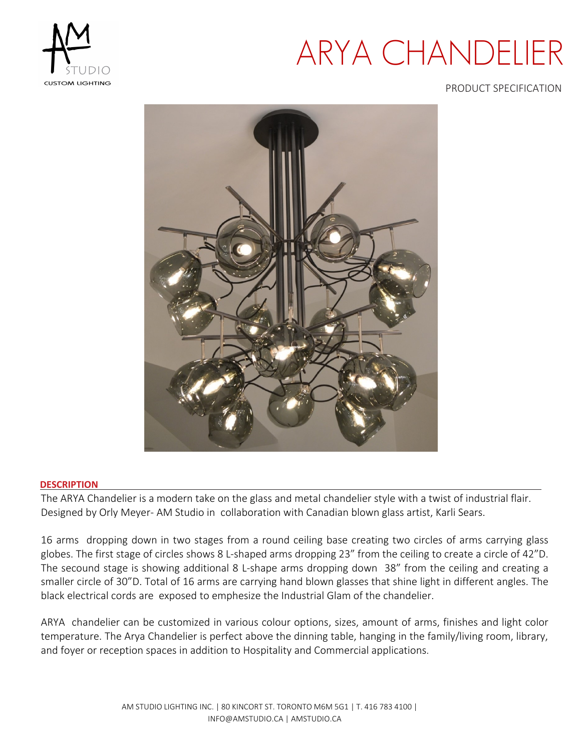

# ARYA CHANDELIER

### PRODUCT SPECIFICATION



### **DESCRIPTION**

The ARYA Chandelier is a modern take on the glass and metal chandelier style with a twist of industrial flair. Designed by Orly Meyer- AM Studio in collaboration with Canadian blown glass artist, Karli Sears.

16 arms dropping down in two stages from a round ceiling base creating two circles of arms carrying glass globes. The first stage of circles shows 8 L-shaped arms dropping 23" from the ceiling to create a circle of 42"D. The secound stage is showing additional 8 L-shape arms dropping down 38" from the ceiling and creating a smaller circle of 30"D. Total of 16 arms are carrying hand blown glasses that shine light in different angles. The black electrical cords are exposed to emphesize the Industrial Glam of the chandelier.

ARYA chandelier can be customized in various colour options, sizes, amount of arms, finishes and light color temperature. The Arya Chandelier is perfect above the dinning table, hanging in the family/living room, library, and foyer or reception spaces in addition to Hospitality and Commercial applications.